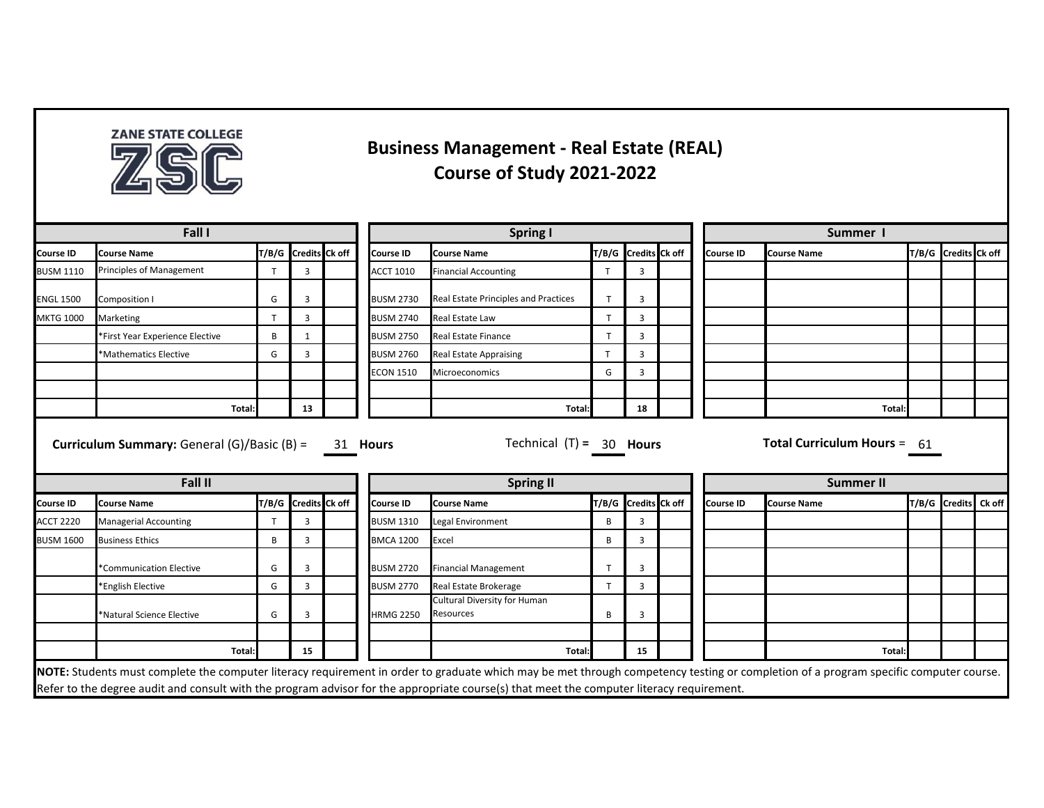

## **Business Management - Real Estate (REAL) Course of Study 2021-2022**

| Fall I                               |                                |   |                      |  | <b>Spring I</b>  |                                                  |       |                      |                            | Summer 1         |                               |  |                      |  |
|--------------------------------------|--------------------------------|---|----------------------|--|------------------|--------------------------------------------------|-------|----------------------|----------------------------|------------------|-------------------------------|--|----------------------|--|
| Course ID                            | Course Name                    |   | T/B/G Credits Ck off |  | Course ID        | <b>Course Name</b>                               |       | T/B/G Credits Ck off |                            | Course ID        | <b>Course Name</b>            |  | T/B/G Credits Ck off |  |
| <b>BUSM 1110</b>                     | Principles of Management       | T | 3                    |  | <b>ACCT 1010</b> | <b>Financial Accounting</b>                      | T     | 3                    |                            |                  |                               |  |                      |  |
| <b>ENGL 1500</b>                     | Composition I                  | G | 3                    |  | <b>BUSM 2730</b> | Real Estate Principles and Practices             |       | $\overline{3}$       |                            |                  |                               |  |                      |  |
| <b>MKTG 1000</b>                     | Marketing                      | T | 3                    |  | <b>BUSM 2740</b> | Real Estate Law                                  |       | $\overline{3}$       |                            |                  |                               |  |                      |  |
|                                      | First Year Experience Elective | B | 1                    |  | <b>BUSM 2750</b> | <b>Real Estate Finance</b>                       |       | $\overline{3}$       |                            |                  |                               |  |                      |  |
|                                      | *Mathematics Elective          | G | 3                    |  | <b>BUSM 2760</b> | <b>Real Estate Appraising</b>                    |       | $\overline{3}$       |                            |                  |                               |  |                      |  |
|                                      |                                |   |                      |  | <b>ECON 1510</b> | Microeconomics                                   | G     | $\overline{3}$       |                            |                  |                               |  |                      |  |
|                                      |                                |   |                      |  |                  |                                                  |       |                      |                            |                  |                               |  |                      |  |
|                                      | Total:                         |   | 13                   |  |                  | Total:                                           |       | 18                   |                            |                  | Total:                        |  |                      |  |
|                                      |                                |   |                      |  |                  |                                                  |       |                      | Technical $(T) = 30$ Hours |                  | Total Curriculum Hours = $61$ |  |                      |  |
|                                      | Fall II                        |   |                      |  |                  | <b>Spring II</b>                                 |       |                      |                            |                  | <b>Summer II</b>              |  |                      |  |
|                                      | <b>Course Name</b>             |   | T/B/G Credits Ck off |  | <b>Course ID</b> | <b>Course Name</b>                               | T/B/G | Credits Ck off       |                            | <b>Course ID</b> | <b>Course Name</b>            |  | T/B/G Credits Ck off |  |
| <b>Course ID</b><br><b>ACCT 2220</b> | <b>Managerial Accounting</b>   | T | 3                    |  | <b>BUSM 1310</b> | Legal Environment                                | B     | $\overline{3}$       |                            |                  |                               |  |                      |  |
| <b>BUSM 1600</b>                     | <b>Business Ethics</b>         | B | 3                    |  | <b>BMCA 1200</b> | Excel                                            | B     | $\overline{3}$       |                            |                  |                               |  |                      |  |
|                                      | *Communication Elective        | G | 3                    |  | <b>BUSM 2720</b> | <b>Financial Management</b>                      |       | $\overline{3}$       |                            |                  |                               |  |                      |  |
|                                      | *English Elective              | G | 3                    |  | <b>BUSM 2770</b> | Real Estate Brokerage                            | T     | 3                    |                            |                  |                               |  |                      |  |
|                                      | *Natural Science Elective      | G | 3                    |  | <b>HRMG 2250</b> | <b>Cultural Diversity for Human</b><br>Resources | В     | 3                    |                            |                  |                               |  |                      |  |
|                                      | Total:                         |   | 15                   |  |                  | Total:                                           |       | 15                   |                            |                  | Total:                        |  |                      |  |